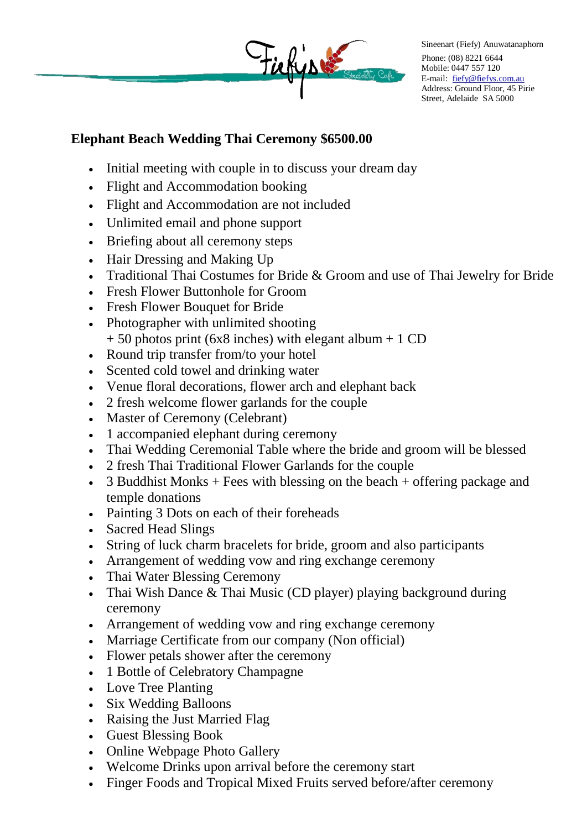

Sineenart (Fiefy) Anuwatanaphorn Phone: (08) 8221 6644 Mobile: 0447 557 120 E-mail: [fiefy@fiefys.com.au](mailto:fiefy@fiefys.com.au) Address: Ground Floor, 45 Pirie Street, Adelaide SA 5000

## **Elephant Beach Wedding Thai Ceremony \$6500.00**

- Initial meeting with couple in to discuss your dream day
- Flight and Accommodation booking
- Flight and Accommodation are not included
- Unlimited email and phone support
- Briefing about all ceremony steps
- Hair Dressing and Making Up
- Traditional Thai Costumes for Bride & Groom and use of Thai Jewelry for Bride
- Fresh Flower Buttonhole for Groom
- Fresh Flower Bouquet for Bride
- Photographer with unlimited shooting  $+ 50$  photos print (6x8 inches) with elegant album  $+ 1$  CD
- Round trip transfer from/to your hotel
- Scented cold towel and drinking water
- Venue floral decorations, flower arch and elephant back
- 2 fresh welcome flower garlands for the couple
- Master of Ceremony (Celebrant)
- 1 accompanied elephant during ceremony
- Thai Wedding Ceremonial Table where the bride and groom will be blessed
- 2 fresh Thai Traditional Flower Garlands for the couple
- $\bullet$  3 Buddhist Monks + Fees with blessing on the beach + offering package and temple donations
- Painting 3 Dots on each of their foreheads
- Sacred Head Slings
- String of luck charm bracelets for bride, groom and also participants
- Arrangement of wedding vow and ring exchange ceremony
- Thai Water Blessing Ceremony
- Thai Wish Dance & Thai Music (CD player) playing background during ceremony
- Arrangement of wedding vow and ring exchange ceremony
- Marriage Certificate from our company (Non official)
- Flower petals shower after the ceremony
- 1 Bottle of Celebratory Champagne
- Love Tree Planting
- Six Wedding Balloons
- Raising the Just Married Flag
- Guest Blessing Book
- Online Webpage Photo Gallery
- Welcome Drinks upon arrival before the ceremony start
- Finger Foods and Tropical Mixed Fruits served before/after ceremony